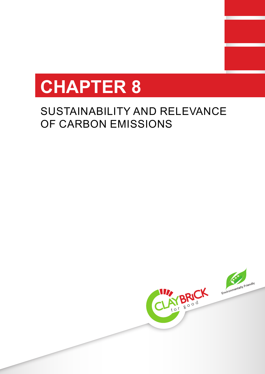

# SUSTAINABILITY AND RELEVANCE OF CARBON EMISSIONS

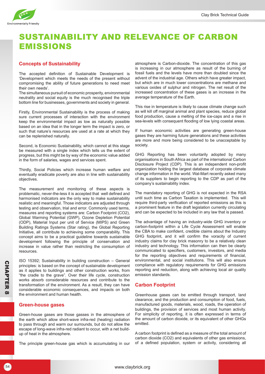

# SUSTAINABILITY AND RELEVANCE OF CARBON EMISSIONS

# **Concepts of Sustainability**

The accepted definition of Sustainable Development is 'Development which meets the needs of the present without compromising the ability of future generations to need meet their own needs'.

The simultaneous pursuit of economic prosperity, environmental neutrality and social equity is the much recognised the triple bottom line for businesses, governments and society in general.

Firstly, Environmental Sustainability is the process of making sure current processes of interaction with the environment keep the environmental impact as low as naturally possible based on an idea that in the longer term the impact is zero, or such that nature's resources are used at a rate at which they can be replenished naturally.

Second, is Economic Sustainability, which cannot at this stage be measured with a single index which tells us the extent of progress, but this might be by way of the economic value added in the form of salaries, wages and services spent.

Thirdly, Social Policies which increase human welfare and eventually eradicate poverty are also in line with sustainability objectives.

The measurement and monitoring of these aspects is problematic, never-the-less it is accepted that well defined and harmonised indicators are the only way to make sustainability realistic and meaningful. Those indicators are adjusted through testing and observation, trial and error. Commonly used terms, measures and reporting systems are: Carbon Footprint (CO2), Global Warming Potential (GWP), Ozone Depletion Potential (ODP), Material Input per unit of Service (MIPS) and Green Building Ratings Systems (Star rating), the Global Reporting Initiative, all contribute to achieving some comparability. This concept aims to be a practical guideline towards sustainable development following the principle of conservation and increase in value rather than restricting the consumption of resources.

ISO 15392; Sustainability in building construction – General principles: is based on the concept of sustainable development as it applies to buildings and other construction works, from "the cradle to the grave". Over their life cycle, construction works absorb considerable resources and contribute to the transformation of the environment. As a result, they can have considerable economic consequences, and impacts on both the environment and human health.

#### **Green-house gases**

Green-house gases are those gasses in the atmosphere of the earth which allow short-wave infra-red (heating) radiation to pass through and warm our surrounds, but do not allow the escape of long-wave infra-red radiant to occur, with a net buildup of heat in the atmosphere.

The principle green-house gas which is accumulating in our

atmosphere is Carbon-dioxide. The concentration of this gas is increasing in our atmosphere as result of the burning of fossil fuels and the levels have more than doubled since the advent of the industrial age. Others which have greater impact, but which are in much lower concentrations are methane and various oxides of sulphur and nitrogen. The net result of the increased concentration of these gases is an increase in the average temperature of the Earth.

This rise in temperature is likely to cause climate change such as will kill off marginal animal and plant species, reduce global food production, cause a melting of the ice-caps and a rise in sea-levels with consequent flooding of low lying coastal areas.

If human economic activities are generating green-house gases they are harming future generations and these activities are more and more being considered to be unacceptable by society.

GHG Reporting has been voluntarily adopted by many organisations in South Africa as part of the international Carbon Disclosure Project (CDP). This is an independent non-profit organization holding the largest database of corporate climate change information in the world. Wal-Mart recently asked many of its suppliers to begin reporting to the CDP as part of the company's sustainability index.

The mandatory reporting of GHG is not expected in the RSA until such time as Carbon Taxation is implemented. This will require third-party verification of reported emissions as this is a prominent feature in the draft legislation currently circulating and can be expected to be included in any law that is passed.

The advantage of having an industry-wide GHG inventory or carbon-footprint within a Life Cycle Assessment will enable the CBA to make confident, credible claims about the Industry GHG footprint, and it will confirm the voracity of current industry claims for clay brick masonry to be a relatively clean industry and technology. This information can then be clearly communicated to specifiers, customers, investors, and media for the reporting objectives and requirements of financial, environmental, and social institutions. This will also ensure compliance with regulatory requirements for GHG emissions reporting and reduction, along with achieving local air quality emission standards.

# **Carbon Footprint**

Greenhouse gases can be emitted through transport, land clearance, and the production and consumption of food, fuels, manufactured goods, materials, wood, roads, the operation of buildings, the provision of services and most human activity. For simplicity of reporting, it is often expressed in terms of the amount of carbon dioxide, or its equivalent of other GHGs emitted.

A carbon footprint is defined as a measure of the total amount of carbon dioxide (CO2) and equivalents of other gas emissions, of a defined population, system or activity, considering all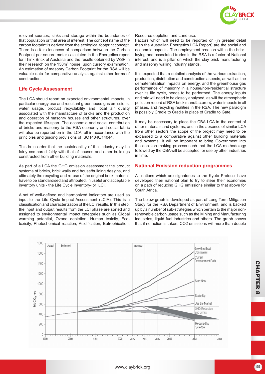

relevant sources, sinks and storage within the boundaries of that population or that area of interest. The concept name of the carbon footprint is derived from the ecological footprint concept. There is a fair closeness of comparison between the Carbon Footprint per square meter calculated in the Energetics report for Think Brick of Australia and the results obtained by WSP in their research on the 130 $m<sup>2</sup>$  house, upon cursory examination. An estimation of masonry Carbon Footprint for the RSA will be valuable data for comparative analysis against other forms of construction.

# **Life Cycle Assessment**

The LCA should report on expected environmental impacts, in particular energy use and resultant greenhouse gas emissions, water usage, product recyclability and local air quality associated with the manufacture of bricks and the production and operation of masonry houses and other structures, over the expected life-span. The economic and social contribution of bricks and masonry to the RSA economy and social fabric will also be reported on in the LCA, all in accordance with the principles and guiding provisions of ISO14040/14044.

This is in order that the sustainability of the Industry may be fairly compared fairly with that of houses and other buildings constructed from other building materials.

As part of a LCA the GHG emission assessment the product systems of bricks, brick walls and house/building designs, and ultimately the recycling and re-use of the original brick material, have to be standardised and attributed, in useful and acceptable inventory units - the Life Cycle Inventory- or LCI.

A set of well-defined and harmonized indicators are used as input to the Life Cycle Impact Assessment (LCIA). This is a classification and characterization of the LCI results. In this step, the input and output results from the LCI phase are sorted and assigned to environmental impact categories such as Global warming potential, Ozone depletion, Human toxicity, Ecotoxicity, Photochemical reaction, Acidification, Eutrophication, Resource depletion and Land use.

Factors which will need to be reported on (in greater detail than the Australian Energetics LCA Report) are the social and economic aspects. The employment creation within the bricklaying and associated trades in the RSA is a factor of National interest, and is a pillar on which the clay brick manufacturing and masonry walling industry stands.

It is expected that a detailed analysis of the various extraction, production, distribution and construction aspects, as well as the dematerialisation impacts on energy, and the greenhouse gas performance of masonry in a house/non-residential structure over its life cycle, needs to be performed. The energy inputs and mix will need to be closely analysed, as will the atmospheric pollution record of RSA brick manufacturers, water impacts in all phases, and recycling realities in the RSA. The new paradigm is possibly Cradle to Cradle in place of Cradle to Gate.

It may be necessary to place the CBA LCA in the context of other materials and systems, and in the absence of similar LCA from other sectors the scope of the project may need to be expanded to a comparative against other building materials and systems. It will be important to bring Government into the decision making process such that the LCA methodology followed by the CBA will be accepted for use by other industries in time.

#### **National Emission reduction programmes**

All nations which are signatories to the Kyoto Protocol have developed their national plan to try to steer their economies on a path of reducing GHG emissions similar to that above for South Africa.

The below graph is developed as part of Long Term Mitigation Study for the RSA Department of Environment, and is backed up by a number of sub-strategies which pertain to the major nonrenewable carbon usage such as the Mining and Manufacturing industries, liquid fuel industries and others. The graph shows that if no action is taken, CO2 emissions will more than double

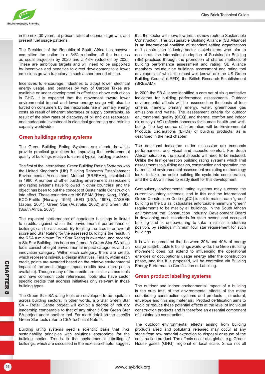

in the next 30 years, at present rates of economic growth, and present fuel usage patterns.

The President of the Republic of South Africa has however committed the nation to a 34% reduction off the business as usual projection by 2020 and a 43% reduction by 2025. These are ambitious targets and will need to be supported by incentives and penalties to direct development to a lower emissions growth trajectory in such a short period of time.

Incentives to encourage Industries to adopt lower electrical energy usage, and penalties by way of Carbon Taxes are available or under development to effect the above reductions in GHG. It is expected that the movement toward lower environmental impact and lower energy usage will also be forced on consumers by the inexorable rise in primary energy costs as result of inherent shortages or supply constraints, as result of the slow rates of discovery of oil and gas resources, and inadequate investment in electrical generating and refining capacity worldwide.

# **Green buildings rating systems**

The Green Building Rating Systems are standards which provide practical guidelines for improving the environmental quality of buildings relative to current typical building practices.

The first of the International Green Building Rating Systems was the United Kingdom's (UK) Building Research Establishment Environmental Assessment Method (BREEAM), established in 1990. A number of other building environment assessment and rating systems have followed in other countries, and the object has been to put the concept of Sustainable Construction into effect. These countries are HK BEAM (Hong Kong, 1995), ECO-Profile (Norway, 1996) LEED (USA, 1997), CASBEE (Japan, 2001), Green Star (Australia, 2002) and Green Star (South Africa, 2007).

The expected performance of candidate buildings is linked to credits, against which the environmental performance of buildings can be assessed. By totalling the credits an overall score and Star Rating for the assessed building is the result. In the RSA a minimum Four Star Rating is awarded, and recently a Six Star Building has been confirmed. A Green Star SA rating tools consist of eight environmental impact categories and an innovation category. Within each category, there are credits which represent individual design initiatives. Finally, within each credit, points are awarded based on the relative environmental impact of the credit (bigger impact credits have more points available). Though many of the credits are similar across tools and have common code references, tools also have sector specific credits that address initiatives only relevant in those building types.

The Green Star SA rating tools are developed to be equitable across building sectors. In other words, a 5 Star Green Star SA – Retail Centre project will exhibit a degree of industry leadership comparable to that of any other 5 Star Green Star SA project under another tool. For more detail on the specific Green Star tools refer to CBA Technical Note 9.

Building rating systems need a scientific basis that links sustainability principles with solutions appropriate for the building sector. Trends in the environmental labelling of buildings, which are discussed in the next sub-chapter suggest that the sector will move towards this new route to Sustainable Construction. The Sustainable Building Alliance (SB Alliance) is an international coalition of standard setting organizations and construction industry sector stakeholders who aim to accelerate the international adoption of Sustainable Building (SB) practices through the promotion of shared methods of building performance assessment and rating. SB Alliance members include nine buildings assessment and rating tool developers, of which the most well-known are the US Green Building Council (LEED), the British Research Establishment (BREEAM).

In 2009 the SB Alliance identified a core set of six quantitative indicators for building performance assessments. Outdoor environmental affects will be assessed on the basis of four criteria, namely, primary energy, water, greenhouse gas emissions and waste. The assessment criteria for outdoor environmental quality (OEQ), and thermal comfort and indoor air quality (IAQ) reflects concerns for human health and wellbeing. The key source of information will be Environmental Products Declarations (EPDs) of building products, as is described in the next chapter.

The additional indicators under discussion are economic performances, and visual and acoustic comfort. For South African situations the social aspects will need to be included. Unlike the first generation building rating systems which limit assessments to building design, construction and operation, the harmonised environmental assessment and rating methodology looks to take the entire building life cycle into consideration, and the CBA will need to ready itself for this development.

Compulsory environmental rating systems may succeed the current voluntary schemes, and to this end the International Green Construction Code (IgCC) is set to mainstream "green" building in the US as it stipulates enforceable minimum "green" requirements to be met by all buildings. In the South African environment the Construction Industry Development Board is developing such standards for state owned and occupied building and is endeavouring to take a similar leadership position, by settinga minimum four star requirement for such buildings.

It is well documented that between 30% and 40% of energy usage is attributable to buildings world-wide.The Green Building movement does not extend to influencing the operational energies or occupational usage energy after the construction phase, and this it is proposed, will be controlled via Building Energy Performance Certification or Labelling.

#### **Green product labelling systems**

The outdoor and indoor environmental impact of a building is the sum total of the environmental effects of the many contributing construction systems and products – structural, envelope and finishing materials. Product certification aims to avoid or reduce these potential effects at the level of individual construction products and is therefore an essential component of sustainable construction.

The outdoor environmental effects arising from building products used and pollutants released may occur at any stage from raw material extraction to disposal or reuse of the construction product. The effects occur at a global, e.g. Green-House gases (GHG), regional or local scale. Since not all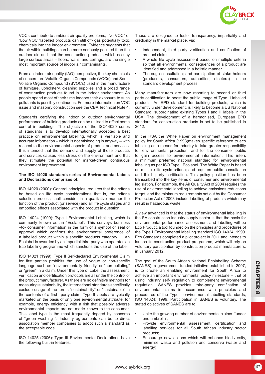

VOCs contribute to ambient air quality problems, 'No VOC" or "Low VOC "labelled products can still off- gas potentially toxic chemicals into the indoor environment. Evidence suggests that the air within buildings can be more seriously polluted than the outdoor air, and that the construction products which occupy large surface areas – floors, walls, and ceilings, are the single most important source of indoor air contaminants.

From an indoor air quality (IAQ) perspective, the key chemicals of concern are Volatile Organic Compounds (VOCs) and Semi-Volatile Organic Compound (SVOCs) used in the manufacture of furniture, upholstery, cleaning supplies and a broad range of construction products found in the indoor environment. As people spend most of their time indoors their exposure to such pollutants is possibly continuous. For more information on VOC issue and masonry construction see the CBA Technical Note 4.

Standards certifying the indoor or outdoor environmental performance of building products can be utilised to affect some control in buildings. The objective of the ISO14020 series of standards is to develop internationally accepted a best practice on environmental labelling, which is verifiable and accurate information – which is not misleading in anyway – with respect to the environmental aspects of product and services. It is intended that the demand and supply of those products and services causes less stress on the environment and that they stimulate the potential for market-driven continuous environment improvement.

#### **The ISO 14020 standards series of Environmental Labels and Declarations comprises of:**

ISO 14020 (2000): General principles; requires that the criteria be based on life cycle considerations that is, the criteria selection process shall consider in a qualitative manner the function of the product (or service) and all life cycle stages and embodied effects associated with the product in question.

ISO 14024 (1999): Type I Environmental Labelling, which is commonly known as an "Ecolabel". This conveys business –to- consumer information in the form of a symbol or seal of approval which confirms the environmental preference of a labelled product within a specific products category. An Ecolabel is awarded by an impartial third-party who operates an Eco labelling programme which sanctions the use of the label.

ISO 14021 (1999): Type II Self-declared Environmental Claim for first parties prohibits the use of vague or non-specific language such as "environmentally friendly' or "non-polluting" or "green" in a claim. Under this type of Label the assessment, verification and certification protocols are all under the control of the product manufacturer. As there are no definitive methods for measuring sustainability, the international standards specifically exclude usage of the terms "sustainability" or "sustainable" in the contents of a first –party claim. Type II labels are typically marketed on the basis of only one environmental attribute, for example, energy efficiency, with a risk that possibly adverse environmental impacts are not made known to the consumer. This label type is the most frequently dogged by concerns of "green washing ". Industry agreements can be to direct association member companies to adopt such a standard as the acceptable code.

ISO 14025 (2006): Type III Environmental Declarations have the following built-in features:

These are designed to foster transparency, impartiality and credibility in the market place, via:

- Independent, third party verification and certification of product claims.
- A whole life cycle assessment based on multiple criteria so that all environmental consequences of a product are identified and addressed in a holistic manner.
- Thorough consultation; and participation of stake holders (producers, consumers, authorities, etcetera) in the standard development process.

Many manufacturers are now resorting to second or third party certification to boost the public image of Type II labelled products. An EPD standard for building products, which is currently under development, is likely to become a US National Standard, subordinating existing Types I and II labels in the USA. The development of a harmonised, European EPD standard for construction products is set to be published in 2012.

In the RSA the White Paper on environment management policy for South Africa (1998)makes specific reference to eco labelling as a means for industry to take greater responsibility for environmental protection, and for the consumer public to gain access to environmental information. This infers a minimum preferred national standard for environmental labelling as per ISO Type I Ecolabel. The White Paper is based on multiple life cycle criteria; and requires public consultation and third- party certification. This policy position has been transcribed into the key items of consumer and environmental legislation. For example, the Air Quality Act of 2004 requires the use of environmental labelling to achieve emissions reductions target; and the minimum requirements set out by the Consumer Protection Act of 2008 include labelling of products which may result in hazardous waste.

A view advanced is that the status of environmental labelling in the SA construction industry supply sector is that the basis for environmental performance assessment and labelling will be Eco Product, a tool founded on the principles and procedures of the Type I Environmental labelling standard ISO 14024: 1999. Eco Standards completed a pilot project in 2011 and intends to launch its construction product programme, which will rely on voluntary participation by construction product manufacturers, in January 2012.

Exerting the goal of the South Articlar National Euclideant Schellenty Schellent Theorem (SANES), a government funded initiative established in 2007,<br>
Sessment, is to create an enabling environmental policy milestone – tha The goal of the South African National Ecolabelling Scheme (SANES), a government funded initiative established in 2007, is to create an enabling environment for South Africa to achieve an important environmental policy milestone – that of using industry self- regulation to complement environmental regulation. SANES provides third-party certification of environmental claims in accordance with principles and procedures of the Type I environmental labelling standards, ISO 14024; 1999. Participation in SANES is voluntary. The stated objectives of SANES are to:

- Unite the growing number of environmental claims "under one umbrella",
- Provide environmental assessment, certification and labelling services for all South African industry sector products;
- Encourage new actions which will enhance biodiversity, minimise waste and pollution and conserve (water and energy)